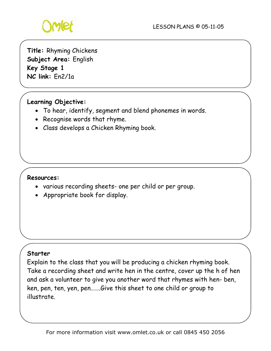

**Title:** Rhyming Chickens **Subject Area:** English **Key Stage 1 NC link:** En2/1a

## **Learning Objective:**

- To hear, identify, segment and blend phonemes in words.
- Recognise words that rhyme.
- Class develops a Chicken Rhyming book.

#### **Resources:**

- various recording sheets- one per child or per group.
- Appropriate book for display.

#### **Starter**

Explain to the class that you will be producing a chicken rhyming book. Take a recording sheet and write hen in the centre, cover up the h of hen and ask a volunteer to give you another word that rhymes with hen- ben, ken, pen, ten, yen, pen…….Give this sheet to one child or group to illustrate.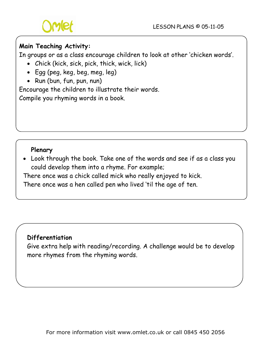

# **Main Teaching Activity:**

In groups or as a class encourage children to look at other 'chicken words'.

- Chick (kick, sick, pick, thick, wick, lick)
- Egg (peg, keg, beg, meg, leg)
- Run (bun, fun, pun, nun)

Encourage the children to illustrate their words.

Compile you rhyming words in a book.

## **Plenary**

• Look through the book. Take one of the words and see if as a class you could develop them into a rhyme. For example;

There once was a chick called mick who really enjoyed to kick.

There once was a hen called pen who lived 'til the age of ten.

## **Differentiation**

Give extra help with reading/recording. A challenge would be to develop more rhymes from the rhyming words.